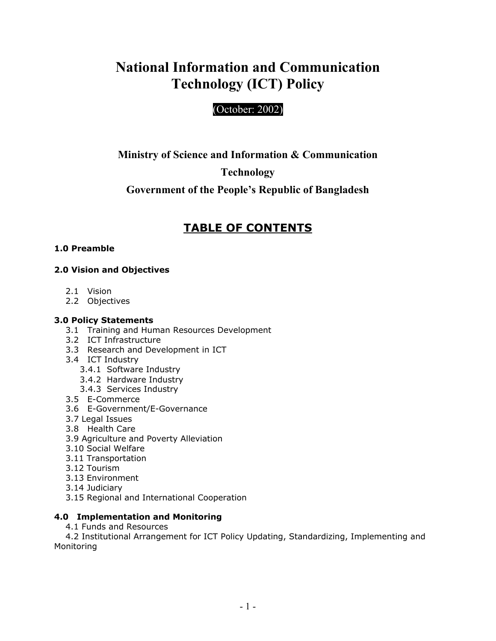# **National Information and Communication Technology (ICT) Policy**

## (October: 2002)

## **Ministry of Science and Information & Communication**

## **Technology**

## **Government of the People's Republic of Bangladesh**

## **TABLE OF CONTENTS**

## **1.0 Preamble**

## **2.0 Vision and Objectives**

- 2.1 Vision
- 2.2 Objectives

### **3.0 Policy Statements**

- 3.1 Training and Human Resources Development
- 3.2 ICT Infrastructure
- 3.3 Research and Development in ICT
- 3.4 ICT Industry
	- 3.4.1 Software Industry
	- 3.4.2 Hardware Industry
	- 3.4.3 Services Industry
- 3.5 E-Commerce
- 3.6 E-Government/E-Governance
- 3.7 Legal Issues
- 3.8 Health Care
- 3.9 Agriculture and Poverty Alleviation
- 3.10 Social Welfare
- 3.11 Transportation
- 3.12 Tourism
- 3.13 Environment
- 3.14 Judiciary
- 3.15 Regional and International Cooperation

## **4.0 Implementation and Monitoring**

4.1 Funds and Resources

 4.2 Institutional Arrangement for ICT Policy Updating, Standardizing, Implementing and Monitoring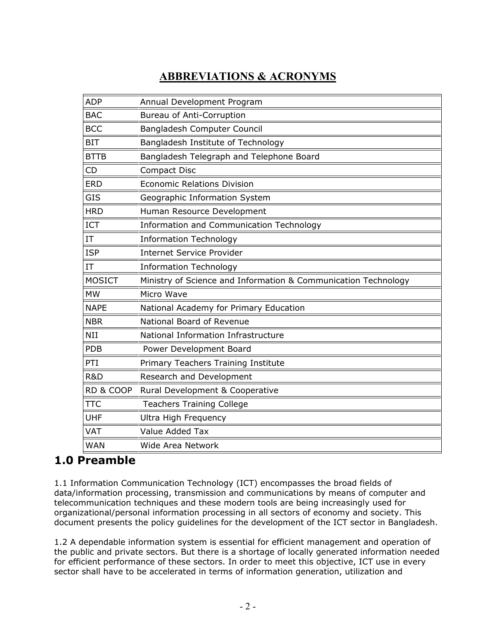## **ABBREVIATIONS & ACRONYMS**

| <b>ADP</b>    | Annual Development Program                                     |
|---------------|----------------------------------------------------------------|
| <b>BAC</b>    | <b>Bureau of Anti-Corruption</b>                               |
| <b>BCC</b>    | Bangladesh Computer Council                                    |
| <b>BIT</b>    | Bangladesh Institute of Technology                             |
| <b>BTTB</b>   | Bangladesh Telegraph and Telephone Board                       |
| <b>CD</b>     | <b>Compact Disc</b>                                            |
| <b>ERD</b>    | <b>Economic Relations Division</b>                             |
| <b>GIS</b>    | Geographic Information System                                  |
| <b>HRD</b>    | Human Resource Development                                     |
| ICT           | Information and Communication Technology                       |
| IT            | <b>Information Technology</b>                                  |
| <b>ISP</b>    | <b>Internet Service Provider</b>                               |
| IT            | <b>Information Technology</b>                                  |
| <b>MOSICT</b> | Ministry of Science and Information & Communication Technology |
|               |                                                                |
| <b>MW</b>     | Micro Wave                                                     |
| <b>NAPE</b>   | National Academy for Primary Education                         |
| <b>NBR</b>    | National Board of Revenue                                      |
| <b>NII</b>    | National Information Infrastructure                            |
| <b>PDB</b>    | Power Development Board                                        |
| PTI           | Primary Teachers Training Institute                            |
| R&D           | Research and Development                                       |
| RD & COOP     | Rural Development & Cooperative                                |
| <b>TTC</b>    | <b>Teachers Training College</b>                               |
| <b>UHF</b>    | <b>Ultra High Frequency</b>                                    |
| VAT           | Value Added Tax                                                |

## **1.0 Preamble**

1.1 Information Communication Technology (ICT) encompasses the broad fields of data/information processing, transmission and communications by means of computer and telecommunication techniques and these modern tools are being increasingly used for organizational/personal information processing in all sectors of economy and society. This document presents the policy guidelines for the development of the ICT sector in Bangladesh.

1.2 A dependable information system is essential for efficient management and operation of the public and private sectors. But there is a shortage of locally generated information needed for efficient performance of these sectors. In order to meet this objective, ICT use in every sector shall have to be accelerated in terms of information generation, utilization and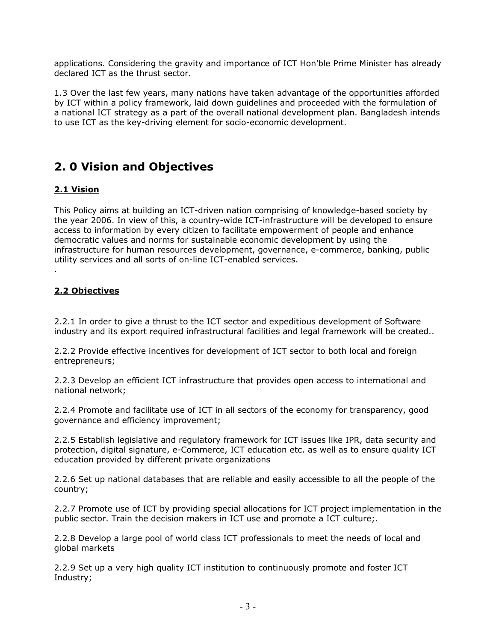applications. Considering the gravity and importance of ICT Hon'ble Prime Minister has already declared ICT as the thrust sector.

1.3 Over the last few years, many nations have taken advantage of the opportunities afforded by ICT within a policy framework, laid down guidelines and proceeded with the formulation of a national ICT strategy as a part of the overall national development plan. Bangladesh intends to use ICT as the key-driving element for socio-economic development.

## **2. 0 Vision and Objectives**

## **2.1 Vision**

This Policy aims at building an ICT-driven nation comprising of knowledge-based society by the year 2006. In view of this, a country-wide ICT-infrastructure will be developed to ensure access to information by every citizen to facilitate empowerment of people and enhance democratic values and norms for sustainable economic development by using the infrastructure for human resources development, governance, e-commerce, banking, public utility services and all sorts of on-line ICT-enabled services.

## **2.2 Objectives**

.

2.2.1 In order to give a thrust to the ICT sector and expeditious development of Software industry and its export required infrastructural facilities and legal framework will be created..

2.2.2 Provide effective incentives for development of ICT sector to both local and foreign entrepreneurs;

2.2.3 Develop an efficient ICT infrastructure that provides open access to international and national network;

2.2.4 Promote and facilitate use of ICT in all sectors of the economy for transparency, good governance and efficiency improvement;

2.2.5 Establish legislative and regulatory framework for ICT issues like IPR, data security and protection, digital signature, e-Commerce, ICT education etc. as well as to ensure quality ICT education provided by different private organizations

2.2.6 Set up national databases that are reliable and easily accessible to all the people of the country;

2.2.7 Promote use of ICT by providing special allocations for ICT project implementation in the public sector. Train the decision makers in ICT use and promote a ICT culture;.

2.2.8 Develop a large pool of world class ICT professionals to meet the needs of local and global markets

2.2.9 Set up a very high quality ICT institution to continuously promote and foster ICT Industry;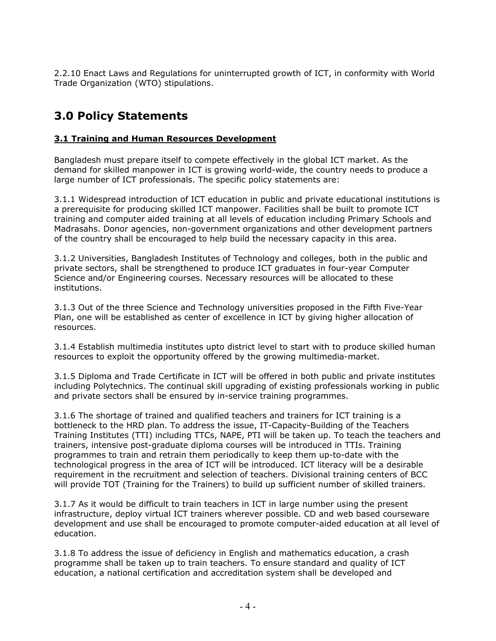2.2.10 Enact Laws and Regulations for uninterrupted growth of ICT, in conformity with World Trade Organization (WTO) stipulations.

## **3.0 Policy Statements**

## **3.1 Training and Human Resources Development**

Bangladesh must prepare itself to compete effectively in the global ICT market. As the demand for skilled manpower in ICT is growing world-wide, the country needs to produce a large number of ICT professionals. The specific policy statements are:

3.1.1 Widespread introduction of ICT education in public and private educational institutions is a prerequisite for producing skilled ICT manpower. Facilities shall be built to promote ICT training and computer aided training at all levels of education including Primary Schools and Madrasahs. Donor agencies, non-government organizations and other development partners of the country shall be encouraged to help build the necessary capacity in this area.

3.1.2 Universities, Bangladesh Institutes of Technology and colleges, both in the public and private sectors, shall be strengthened to produce ICT graduates in four-year Computer Science and/or Engineering courses. Necessary resources will be allocated to these institutions.

3.1.3 Out of the three Science and Technology universities proposed in the Fifth Five-Year Plan, one will be established as center of excellence in ICT by giving higher allocation of resources.

3.1.4 Establish multimedia institutes upto district level to start with to produce skilled human resources to exploit the opportunity offered by the growing multimedia-market.

3.1.5 Diploma and Trade Certificate in ICT will be offered in both public and private institutes including Polytechnics. The continual skill upgrading of existing professionals working in public and private sectors shall be ensured by in-service training programmes.

3.1.6 The shortage of trained and qualified teachers and trainers for ICT training is a bottleneck to the HRD plan. To address the issue, IT-Capacity-Building of the Teachers Training Institutes (TTI) including TTCs, NAPE, PTI will be taken up. To teach the teachers and trainers, intensive post-graduate diploma courses will be introduced in TTIs. Training programmes to train and retrain them periodically to keep them up-to-date with the technological progress in the area of ICT will be introduced. ICT literacy will be a desirable requirement in the recruitment and selection of teachers. Divisional training centers of BCC will provide TOT (Training for the Trainers) to build up sufficient number of skilled trainers.

3.1.7 As it would be difficult to train teachers in ICT in large number using the present infrastructure, deploy virtual ICT trainers wherever possible. CD and web based courseware development and use shall be encouraged to promote computer-aided education at all level of education.

3.1.8 To address the issue of deficiency in English and mathematics education, a crash programme shall be taken up to train teachers. To ensure standard and quality of ICT education, a national certification and accreditation system shall be developed and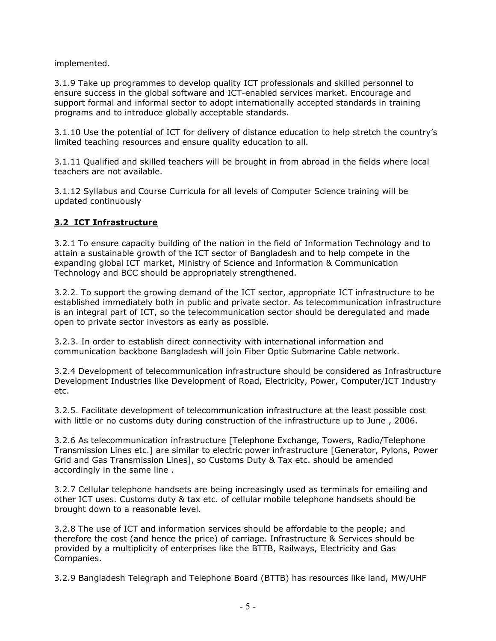implemented.

3.1.9 Take up programmes to develop quality ICT professionals and skilled personnel to ensure success in the global software and ICT-enabled services market. Encourage and support formal and informal sector to adopt internationally accepted standards in training programs and to introduce globally acceptable standards.

3.1.10 Use the potential of ICT for delivery of distance education to help stretch the country's limited teaching resources and ensure quality education to all.

3.1.11 Qualified and skilled teachers will be brought in from abroad in the fields where local teachers are not available.

3.1.12 Syllabus and Course Curricula for all levels of Computer Science training will be updated continuously

## **3.2 ICT Infrastructure**

3.2.1 To ensure capacity building of the nation in the field of Information Technology and to attain a sustainable growth of the ICT sector of Bangladesh and to help compete in the expanding global ICT market, Ministry of Science and Information & Communication Technology and BCC should be appropriately strengthened.

3.2.2. To support the growing demand of the ICT sector, appropriate ICT infrastructure to be established immediately both in public and private sector. As telecommunication infrastructure is an integral part of ICT, so the telecommunication sector should be deregulated and made open to private sector investors as early as possible.

3.2.3. In order to establish direct connectivity with international information and communication backbone Bangladesh will join Fiber Optic Submarine Cable network.

3.2.4 Development of telecommunication infrastructure should be considered as Infrastructure Development Industries like Development of Road, Electricity, Power, Computer/ICT Industry etc.

3.2.5. Facilitate development of telecommunication infrastructure at the least possible cost with little or no customs duty during construction of the infrastructure up to June , 2006.

3.2.6 As telecommunication infrastructure [Telephone Exchange, Towers, Radio/Telephone Transmission Lines etc.] are similar to electric power infrastructure [Generator, Pylons, Power Grid and Gas Transmission Lines], so Customs Duty & Tax etc. should be amended accordingly in the same line .

3.2.7 Cellular telephone handsets are being increasingly used as terminals for emailing and other ICT uses. Customs duty & tax etc. of cellular mobile telephone handsets should be brought down to a reasonable level.

3.2.8 The use of ICT and information services should be affordable to the people; and therefore the cost (and hence the price) of carriage. Infrastructure & Services should be provided by a multiplicity of enterprises like the BTTB, Railways, Electricity and Gas Companies.

3.2.9 Bangladesh Telegraph and Telephone Board (BTTB) has resources like land, MW/UHF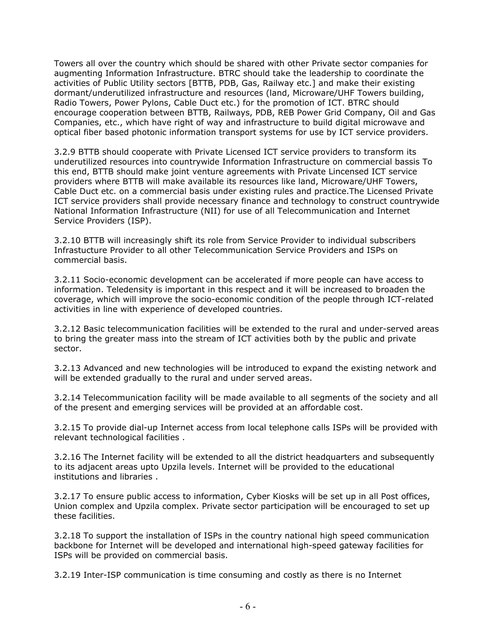Towers all over the country which should be shared with other Private sector companies for augmenting Information Infrastructure. BTRC should take the leadership to coordinate the activities of Public Utility sectors [BTTB, PDB, Gas, Railway etc.] and make their existing dormant/underutilized infrastructure and resources (land, Microware/UHF Towers building, Radio Towers, Power Pylons, Cable Duct etc.) for the promotion of ICT. BTRC should encourage cooperation between BTTB, Railways, PDB, REB Power Grid Company, Oil and Gas Companies, etc., which have right of way and infrastructure to build digital microwave and optical fiber based photonic information transport systems for use by ICT service providers.

3.2.9 BTTB should cooperate with Private Licensed ICT service providers to transform its underutilized resources into countrywide Information Infrastructure on commercial bassis To this end, BTTB should make joint venture agreements with Private Lincensed ICT service providers where BTTB will make available its resources like land, Microware/UHF Towers, Cable Duct etc. on a commercial basis under existing rules and practice.The Licensed Private ICT service providers shall provide necessary finance and technology to construct countrywide National Information Infrastructure (NII) for use of all Telecommunication and Internet Service Providers (ISP).

3.2.10 BTTB will increasingly shift its role from Service Provider to individual subscribers Infrastucture Provider to all other Telecommunication Service Providers and ISPs on commercial basis.

3.2.11 Socio-economic development can be accelerated if more people can have access to information. Teledensity is important in this respect and it will be increased to broaden the coverage, which will improve the socio-economic condition of the people through ICT-related activities in line with experience of developed countries.

3.2.12 Basic telecommunication facilities will be extended to the rural and under-served areas to bring the greater mass into the stream of ICT activities both by the public and private sector.

3.2.13 Advanced and new technologies will be introduced to expand the existing network and will be extended gradually to the rural and under served areas.

3.2.14 Telecommunication facility will be made available to all segments of the society and all of the present and emerging services will be provided at an affordable cost.

3.2.15 To provide dial-up Internet access from local telephone calls ISPs will be provided with relevant technological facilities .

3.2.16 The Internet facility will be extended to all the district headquarters and subsequently to its adjacent areas upto Upzila levels. Internet will be provided to the educational institutions and libraries .

3.2.17 To ensure public access to information, Cyber Kiosks will be set up in all Post offices, Union complex and Upzila complex. Private sector participation will be encouraged to set up these facilities.

3.2.18 To support the installation of ISPs in the country national high speed communication backbone for Internet will be developed and international high-speed gateway facilities for ISPs will be provided on commercial basis.

3.2.19 Inter-ISP communication is time consuming and costly as there is no Internet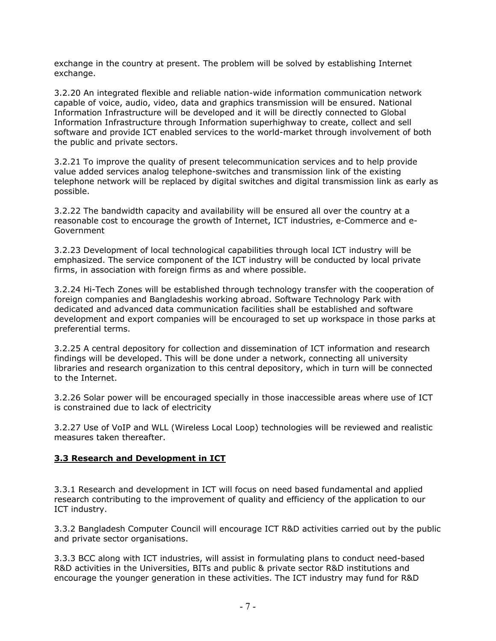exchange in the country at present. The problem will be solved by establishing Internet exchange.

3.2.20 An integrated flexible and reliable nation-wide information communication network capable of voice, audio, video, data and graphics transmission will be ensured. National Information Infrastructure will be developed and it will be directly connected to Global Information Infrastructure through Information superhighway to create, collect and sell software and provide ICT enabled services to the world-market through involvement of both the public and private sectors.

3.2.21 To improve the quality of present telecommunication services and to help provide value added services analog telephone-switches and transmission link of the existing telephone network will be replaced by digital switches and digital transmission link as early as possible.

3.2.22 The bandwidth capacity and availability will be ensured all over the country at a reasonable cost to encourage the growth of Internet, ICT industries, e-Commerce and e-Government

3.2.23 Development of local technological capabilities through local ICT industry will be emphasized. The service component of the ICT industry will be conducted by local private firms, in association with foreign firms as and where possible.

3.2.24 Hi-Tech Zones will be established through technology transfer with the cooperation of foreign companies and Bangladeshis working abroad. Software Technology Park with dedicated and advanced data communication facilities shall be established and software development and export companies will be encouraged to set up workspace in those parks at preferential terms.

3.2.25 A central depository for collection and dissemination of ICT information and research findings will be developed. This will be done under a network, connecting all university libraries and research organization to this central depository, which in turn will be connected to the Internet.

3.2.26 Solar power will be encouraged specially in those inaccessible areas where use of ICT is constrained due to lack of electricity

3.2.27 Use of VoIP and WLL (Wireless Local Loop) technologies will be reviewed and realistic measures taken thereafter.

#### **3.3 Research and Development in ICT**

3.3.1 Research and development in ICT will focus on need based fundamental and applied research contributing to the improvement of quality and efficiency of the application to our ICT industry.

3.3.2 Bangladesh Computer Council will encourage ICT R&D activities carried out by the public and private sector organisations.

3.3.3 BCC along with ICT industries, will assist in formulating plans to conduct need-based R&D activities in the Universities, BITs and public & private sector R&D institutions and encourage the younger generation in these activities. The ICT industry may fund for R&D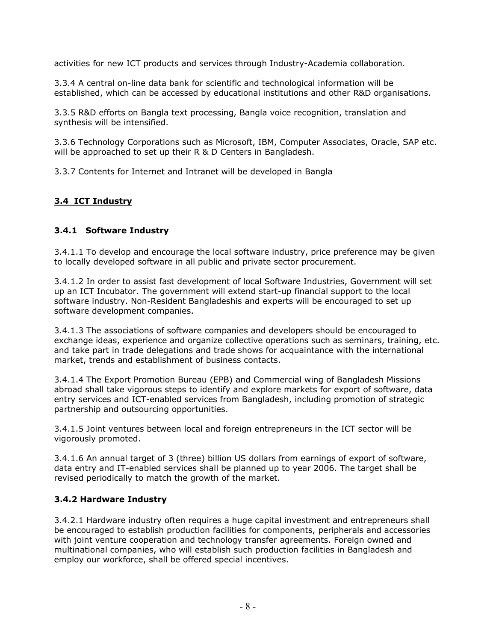activities for new ICT products and services through Industry-Academia collaboration.

3.3.4 A central on-line data bank for scientific and technological information will be established, which can be accessed by educational institutions and other R&D organisations.

3.3.5 R&D efforts on Bangla text processing, Bangla voice recognition, translation and synthesis will be intensified.

3.3.6 Technology Corporations such as Microsoft, IBM, Computer Associates, Oracle, SAP etc. will be approached to set up their R & D Centers in Bangladesh.

3.3.7 Contents for Internet and Intranet will be developed in Bangla

#### **3.4 ICT Industry**

#### **3.4.1 Software Industry**

3.4.1.1 To develop and encourage the local software industry, price preference may be given to locally developed software in all public and private sector procurement.

3.4.1.2 In order to assist fast development of local Software Industries, Government will set up an ICT Incubator. The government will extend start-up financial support to the local software industry. Non-Resident Bangladeshis and experts will be encouraged to set up software development companies.

3.4.1.3 The associations of software companies and developers should be encouraged to exchange ideas, experience and organize collective operations such as seminars, training, etc. and take part in trade delegations and trade shows for acquaintance with the international market, trends and establishment of business contacts.

3.4.1.4 The Export Promotion Bureau (EPB) and Commercial wing of Bangladesh Missions abroad shall take vigorous steps to identify and explore markets for export of software, data entry services and ICT-enabled services from Bangladesh, including promotion of strategic partnership and outsourcing opportunities.

3.4.1.5 Joint ventures between local and foreign entrepreneurs in the ICT sector will be vigorously promoted.

3.4.1.6 An annual target of 3 (three) billion US dollars from earnings of export of software, data entry and IT-enabled services shall be planned up to year 2006. The target shall be revised periodically to match the growth of the market.

#### **3.4.2 Hardware Industry**

3.4.2.1 Hardware industry often requires a huge capital investment and entrepreneurs shall be encouraged to establish production facilities for components, peripherals and accessories with joint venture cooperation and technology transfer agreements. Foreign owned and multinational companies, who will establish such production facilities in Bangladesh and employ our workforce, shall be offered special incentives.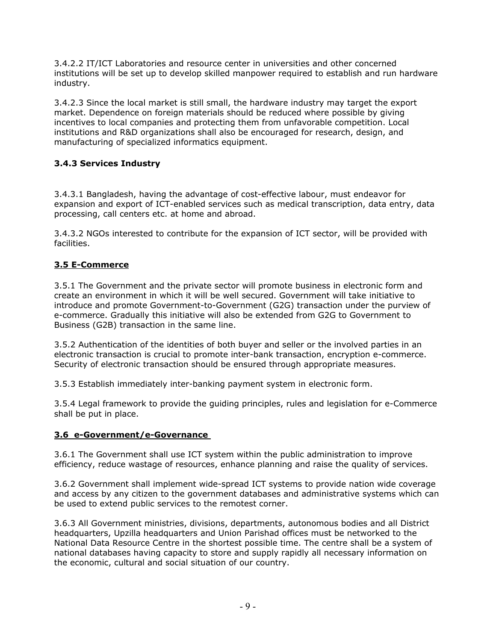3.4.2.2 IT/ICT Laboratories and resource center in universities and other concerned institutions will be set up to develop skilled manpower required to establish and run hardware industry.

3.4.2.3 Since the local market is still small, the hardware industry may target the export market. Dependence on foreign materials should be reduced where possible by giving incentives to local companies and protecting them from unfavorable competition. Local institutions and R&D organizations shall also be encouraged for research, design, and manufacturing of specialized informatics equipment.

## **3.4.3 Services Industry**

3.4.3.1 Bangladesh, having the advantage of cost-effective labour, must endeavor for expansion and export of ICT-enabled services such as medical transcription, data entry, data processing, call centers etc. at home and abroad.

3.4.3.2 NGOs interested to contribute for the expansion of ICT sector, will be provided with facilities.

## **3.5 E-Commerce**

3.5.1 The Government and the private sector will promote business in electronic form and create an environment in which it will be well secured. Government will take initiative to introduce and promote Government-to-Government (G2G) transaction under the purview of e-commerce. Gradually this initiative will also be extended from G2G to Government to Business (G2B) transaction in the same line.

3.5.2 Authentication of the identities of both buyer and seller or the involved parties in an electronic transaction is crucial to promote inter-bank transaction, encryption e-commerce. Security of electronic transaction should be ensured through appropriate measures.

3.5.3 Establish immediately inter-banking payment system in electronic form.

3.5.4 Legal framework to provide the guiding principles, rules and legislation for e-Commerce shall be put in place.

## **3.6 e-Government/e-Governance**

3.6.1 The Government shall use ICT system within the public administration to improve efficiency, reduce wastage of resources, enhance planning and raise the quality of services.

3.6.2 Government shall implement wide-spread ICT systems to provide nation wide coverage and access by any citizen to the government databases and administrative systems which can be used to extend public services to the remotest corner.

3.6.3 All Government ministries, divisions, departments, autonomous bodies and all District headquarters, Upzilla headquarters and Union Parishad offices must be networked to the National Data Resource Centre in the shortest possible time. The centre shall be a system of national databases having capacity to store and supply rapidly all necessary information on the economic, cultural and social situation of our country.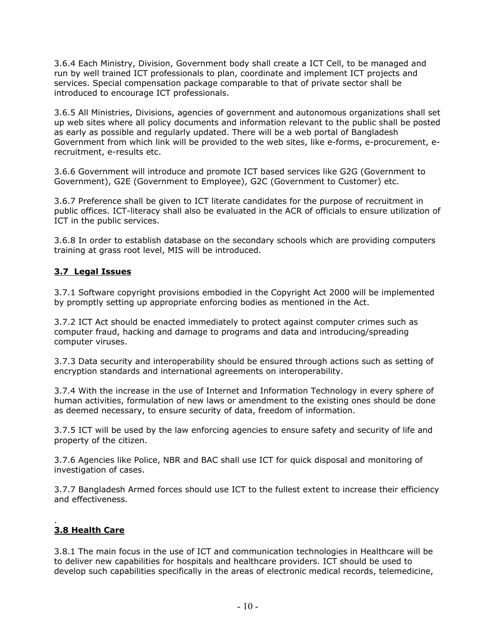3.6.4 Each Ministry, Division, Government body shall create a ICT Cell, to be managed and run by well trained ICT professionals to plan, coordinate and implement ICT projects and services. Special compensation package comparable to that of private sector shall be introduced to encourage ICT professionals.

3.6.5 All Ministries, Divisions, agencies of government and autonomous organizations shall set up web sites where all policy documents and information relevant to the public shall be posted as early as possible and regularly updated. There will be a web portal of Bangladesh Government from which link will be provided to the web sites, like e-forms, e-procurement, erecruitment, e-results etc.

3.6.6 Government will introduce and promote ICT based services like G2G (Government to Government), G2E (Government to Employee), G2C (Government to Customer) etc.

3.6.7 Preference shall be given to ICT literate candidates for the purpose of recruitment in public offices. ICT-literacy shall also be evaluated in the ACR of officials to ensure utilization of ICT in the public services.

3.6.8 In order to establish database on the secondary schools which are providing computers training at grass root level, MIS will be introduced.

#### **3.7 Legal Issues**

3.7.1 Software copyright provisions embodied in the Copyright Act 2000 will be implemented by promptly setting up appropriate enforcing bodies as mentioned in the Act.

3.7.2 ICT Act should be enacted immediately to protect against computer crimes such as computer fraud, hacking and damage to programs and data and introducing/spreading computer viruses.

3.7.3 Data security and interoperability should be ensured through actions such as setting of encryption standards and international agreements on interoperability.

3.7.4 With the increase in the use of Internet and Information Technology in every sphere of human activities, formulation of new laws or amendment to the existing ones should be done as deemed necessary, to ensure security of data, freedom of information.

3.7.5 ICT will be used by the law enforcing agencies to ensure safety and security of life and property of the citizen.

3.7.6 Agencies like Police, NBR and BAC shall use ICT for quick disposal and monitoring of investigation of cases.

3.7.7 Bangladesh Armed forces should use ICT to the fullest extent to increase their efficiency and effectiveness.

#### . **3.8 Health Care**

3.8.1 The main focus in the use of ICT and communication technologies in Healthcare will be to deliver new capabilities for hospitals and healthcare providers. ICT should be used to develop such capabilities specifically in the areas of electronic medical records, telemedicine,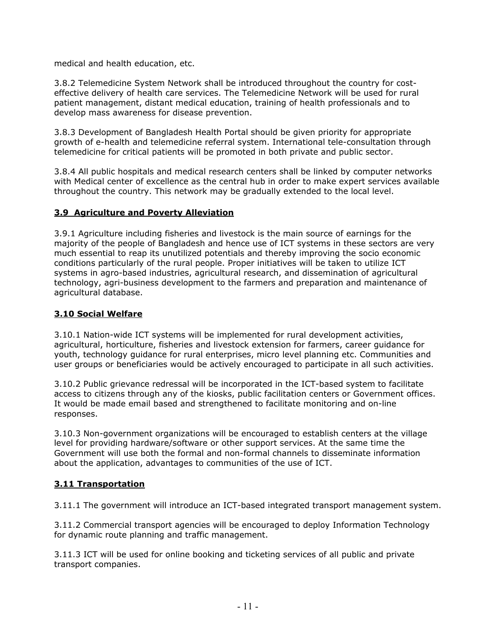medical and health education, etc.

3.8.2 Telemedicine System Network shall be introduced throughout the country for costeffective delivery of health care services. The Telemedicine Network will be used for rural patient management, distant medical education, training of health professionals and to develop mass awareness for disease prevention.

3.8.3 Development of Bangladesh Health Portal should be given priority for appropriate growth of e-health and telemedicine referral system. International tele-consultation through telemedicine for critical patients will be promoted in both private and public sector.

3.8.4 All public hospitals and medical research centers shall be linked by computer networks with Medical center of excellence as the central hub in order to make expert services available throughout the country. This network may be gradually extended to the local level.

#### **3.9 Agriculture and Poverty Alleviation**

3.9.1 Agriculture including fisheries and livestock is the main source of earnings for the majority of the people of Bangladesh and hence use of ICT systems in these sectors are very much essential to reap its unutilized potentials and thereby improving the socio economic conditions particularly of the rural people. Proper initiatives will be taken to utilize ICT systems in agro-based industries, agricultural research, and dissemination of agricultural technology, agri-business development to the farmers and preparation and maintenance of agricultural database.

#### **3.10 Social Welfare**

3.10.1 Nation-wide ICT systems will be implemented for rural development activities, agricultural, horticulture, fisheries and livestock extension for farmers, career guidance for youth, technology guidance for rural enterprises, micro level planning etc. Communities and user groups or beneficiaries would be actively encouraged to participate in all such activities.

3.10.2 Public grievance redressal will be incorporated in the ICT-based system to facilitate access to citizens through any of the kiosks, public facilitation centers or Government offices. It would be made email based and strengthened to facilitate monitoring and on-line responses.

3.10.3 Non-government organizations will be encouraged to establish centers at the village level for providing hardware/software or other support services. At the same time the Government will use both the formal and non-formal channels to disseminate information about the application, advantages to communities of the use of ICT.

## **3.11 Transportation**

3.11.1 The government will introduce an ICT-based integrated transport management system.

3.11.2 Commercial transport agencies will be encouraged to deploy Information Technology for dynamic route planning and traffic management.

3.11.3 ICT will be used for online booking and ticketing services of all public and private transport companies.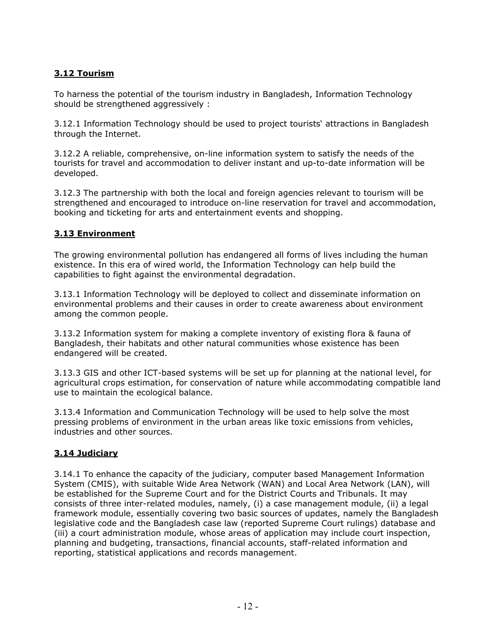## **3.12 Tourism**

To harness the potential of the tourism industry in Bangladesh, Information Technology should be strengthened aggressively :

3.12.1 Information Technology should be used to project tourists' attractions in Bangladesh through the Internet.

3.12.2 A reliable, comprehensive, on-line information system to satisfy the needs of the tourists for travel and accommodation to deliver instant and up-to-date information will be developed.

3.12.3 The partnership with both the local and foreign agencies relevant to tourism will be strengthened and encouraged to introduce on-line reservation for travel and accommodation, booking and ticketing for arts and entertainment events and shopping.

## **3.13 Environment**

The growing environmental pollution has endangered all forms of lives including the human existence. In this era of wired world, the Information Technology can help build the capabilities to fight against the environmental degradation.

3.13.1 Information Technology will be deployed to collect and disseminate information on environmental problems and their causes in order to create awareness about environment among the common people.

3.13.2 Information system for making a complete inventory of existing flora & fauna of Bangladesh, their habitats and other natural communities whose existence has been endangered will be created.

3.13.3 GIS and other ICT-based systems will be set up for planning at the national level, for agricultural crops estimation, for conservation of nature while accommodating compatible land use to maintain the ecological balance.

3.13.4 Information and Communication Technology will be used to help solve the most pressing problems of environment in the urban areas like toxic emissions from vehicles, industries and other sources.

## **3.14 Judiciary**

3.14.1 To enhance the capacity of the judiciary, computer based Management Information System (CMIS), with suitable Wide Area Network (WAN) and Local Area Network (LAN), will be established for the Supreme Court and for the District Courts and Tribunals. It may consists of three inter-related modules, namely, (i) a case management module, (ii) a legal framework module, essentially covering two basic sources of updates, namely the Bangladesh legislative code and the Bangladesh case law (reported Supreme Court rulings) database and (iii) a court administration module, whose areas of application may include court inspection, planning and budgeting, transactions, financial accounts, staff-related information and reporting, statistical applications and records management.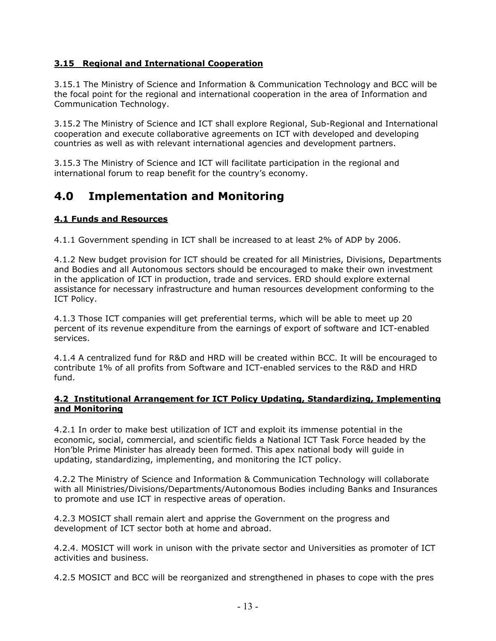#### **3.15 Regional and International Cooperation**

3.15.1 The Ministry of Science and Information & Communication Technology and BCC will be the focal point for the regional and international cooperation in the area of Information and Communication Technology.

3.15.2 The Ministry of Science and ICT shall explore Regional, Sub-Regional and International cooperation and execute collaborative agreements on ICT with developed and developing countries as well as with relevant international agencies and development partners.

3.15.3 The Ministry of Science and ICT will facilitate participation in the regional and international forum to reap benefit for the country's economy.

## **4.0 Implementation and Monitoring**

#### **4.1 Funds and Resources**

4.1.1 Government spending in ICT shall be increased to at least 2% of ADP by 2006.

4.1.2 New budget provision for ICT should be created for all Ministries, Divisions, Departments and Bodies and all Autonomous sectors should be encouraged to make their own investment in the application of ICT in production, trade and services. ERD should explore external assistance for necessary infrastructure and human resources development conforming to the ICT Policy.

4.1.3 Those ICT companies will get preferential terms, which will be able to meet up 20 percent of its revenue expenditure from the earnings of export of software and ICT-enabled services.

4.1.4 A centralized fund for R&D and HRD will be created within BCC. It will be encouraged to contribute 1% of all profits from Software and ICT-enabled services to the R&D and HRD fund.

#### **4.2 Institutional Arrangement for ICT Policy Updating, Standardizing, Implementing and Monitoring**

4.2.1 In order to make best utilization of ICT and exploit its immense potential in the economic, social, commercial, and scientific fields a National ICT Task Force headed by the Hon'ble Prime Minister has already been formed. This apex national body will guide in updating, standardizing, implementing, and monitoring the ICT policy.

4.2.2 The Ministry of Science and Information & Communication Technology will collaborate with all Ministries/Divisions/Departments/Autonomous Bodies including Banks and Insurances to promote and use ICT in respective areas of operation.

4.2.3 MOSICT shall remain alert and apprise the Government on the progress and development of ICT sector both at home and abroad.

4.2.4. MOSICT will work in unison with the private sector and Universities as promoter of ICT activities and business.

4.2.5 MOSICT and BCC will be reorganized and strengthened in phases to cope with the pres